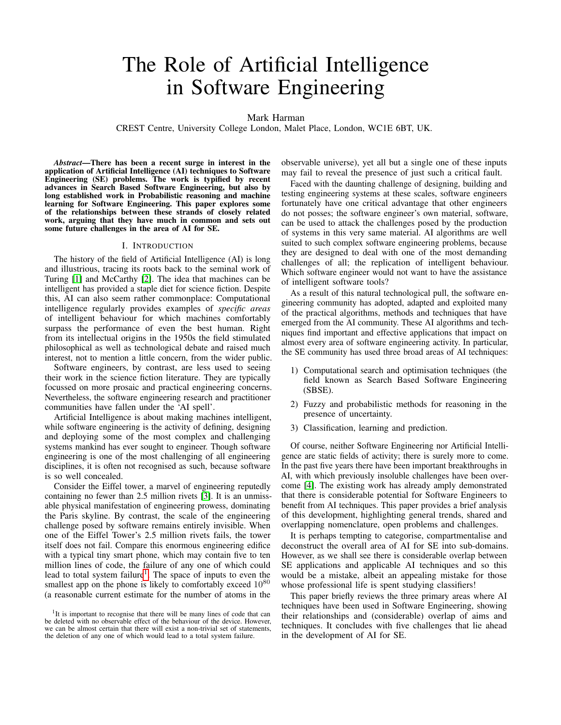# The Role of Artificial Intelligence in Software Engineering

# Mark Harman

CREST Centre, University College London, Malet Place, London, WC1E 6BT, UK.

*Abstract*—There has been a recent surge in interest in the application of Artificial Intelligence (AI) techniques to Software Engineering (SE) problems. The work is typified by recent advances in Search Based Software Engineering, but also by long established work in Probabilistic reasoning and machine learning for Software Engineering. This paper explores some of the relationships between these strands of closely related work, arguing that they have much in common and sets out some future challenges in the area of AI for SE.

#### I. INTRODUCTION

The history of the field of Artificial Intelligence (AI) is long and illustrious, tracing its roots back to the seminal work of Turing [\[1\]](#page-3-0) and McCarthy [\[2\]](#page-3-1). The idea that machines can be intelligent has provided a staple diet for science fiction. Despite this, AI can also seem rather commonplace: Computational intelligence regularly provides examples of *specific areas* of intelligent behaviour for which machines comfortably surpass the performance of even the best human. Right from its intellectual origins in the 1950s the field stimulated philosophical as well as technological debate and raised much interest, not to mention a little concern, from the wider public.

Software engineers, by contrast, are less used to seeing their work in the science fiction literature. They are typically focussed on more prosaic and practical engineering concerns. Nevertheless, the software engineering research and practitioner communities have fallen under the 'AI spell'.

Artificial Intelligence is about making machines intelligent, while software engineering is the activity of defining, designing and deploying some of the most complex and challenging systems mankind has ever sought to engineer. Though software engineering is one of the most challenging of all engineering disciplines, it is often not recognised as such, because software is so well concealed.

Consider the Eiffel tower, a marvel of engineering reputedly containing no fewer than 2.5 million rivets [\[3\]](#page-3-2). It is an unmissable physical manifestation of engineering prowess, dominating the Paris skyline. By contrast, the scale of the engineering challenge posed by software remains entirely invisible. When one of the Eiffel Tower's 2.5 million rivets fails, the tower itself does not fail. Compare this enormous engineering edifice with a typical tiny smart phone, which may contain five to ten million lines of code, the failure of any one of which could lead to total system failure<sup>[1](#page-0-0)</sup>. The space of inputs to even the smallest app on the phone is likely to comfortably exceed  $10^{80}$ (a reasonable current estimate for the number of atoms in the observable universe), yet all but a single one of these inputs may fail to reveal the presence of just such a critical fault.

Faced with the daunting challenge of designing, building and testing engineering systems at these scales, software engineers fortunately have one critical advantage that other engineers do not posses; the software engineer's own material, software, can be used to attack the challenges posed by the production of systems in this very same material. AI algorithms are well suited to such complex software engineering problems, because they are designed to deal with one of the most demanding challenges of all; the replication of intelligent behaviour. Which software engineer would not want to have the assistance of intelligent software tools?

As a result of this natural technological pull, the software engineering community has adopted, adapted and exploited many of the practical algorithms, methods and techniques that have emerged from the AI community. These AI algorithms and techniques find important and effective applications that impact on almost every area of software engineering activity. In particular, the SE community has used three broad areas of AI techniques:

- 1) Computational search and optimisation techniques (the field known as Search Based Software Engineering (SBSE).
- 2) Fuzzy and probabilistic methods for reasoning in the presence of uncertainty.
- 3) Classification, learning and prediction.

Of course, neither Software Engineering nor Artificial Intelligence are static fields of activity; there is surely more to come. In the past five years there have been important breakthroughs in AI, with which previously insoluble challenges have been overcome [\[4\]](#page-3-3). The existing work has already amply demonstrated that there is considerable potential for Software Engineers to benefit from AI techniques. This paper provides a brief analysis of this development, highlighting general trends, shared and overlapping nomenclature, open problems and challenges.

It is perhaps tempting to categorise, compartmentalise and deconstruct the overall area of AI for SE into sub-domains. However, as we shall see there is considerable overlap between SE applications and applicable AI techniques and so this would be a mistake, albeit an appealing mistake for those whose professional life is spent studying classifiers!

This paper briefly reviews the three primary areas where AI techniques have been used in Software Engineering, showing their relationships and (considerable) overlap of aims and techniques. It concludes with five challenges that lie ahead in the development of AI for SE.

<span id="page-0-0"></span><sup>&</sup>lt;sup>1</sup>It is important to recognise that there will be many lines of code that can be deleted with no observable effect of the behaviour of the device. However, we can be almost certain that there will exist a non-trivial set of statements, the deletion of any one of which would lead to a total system failure.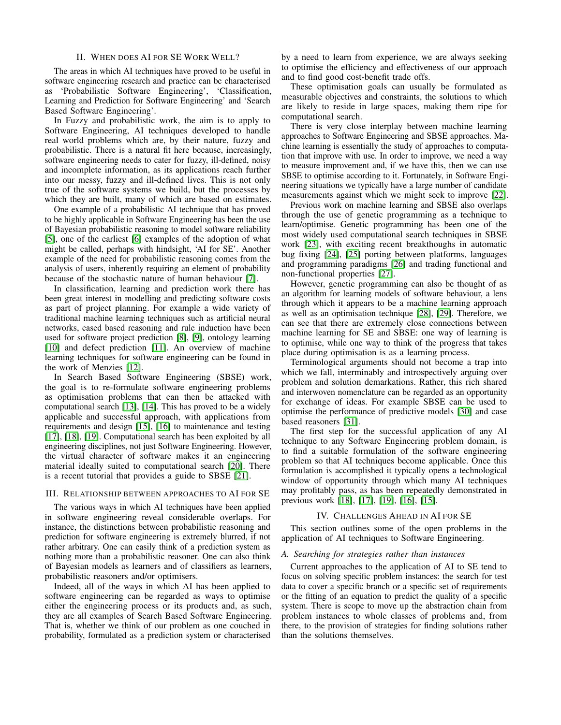#### II. WHEN DOES AI FOR SE WORK WELL?

The areas in which AI techniques have proved to be useful in software engineering research and practice can be characterised as 'Probabilistic Software Engineering', 'Classification, Learning and Prediction for Software Engineering' and 'Search Based Software Engineering'.

In Fuzzy and probabilistic work, the aim is to apply to Software Engineering, AI techniques developed to handle real world problems which are, by their nature, fuzzy and probabilistic. There is a natural fit here because, increasingly, software engineering needs to cater for fuzzy, ill-defined, noisy and incomplete information, as its applications reach further into our messy, fuzzy and ill-defined lives. This is not only true of the software systems we build, but the processes by which they are built, many of which are based on estimates.

One example of a probabilistic AI technique that has proved to be highly applicable in Software Engineering has been the use of Bayesian probabilistic reasoning to model software reliability [\[5\]](#page-3-4), one of the earliest [\[6\]](#page-3-5) examples of the adoption of what might be called, perhaps with hindsight, 'AI for SE'. Another example of the need for probabilistic reasoning comes from the analysis of users, inherently requiring an element of probability because of the stochastic nature of human behaviour [\[7\]](#page-3-6).

In classification, learning and prediction work there has been great interest in modelling and predicting software costs as part of project planning. For example a wide variety of traditional machine learning techniques such as artificial neural networks, cased based reasoning and rule induction have been used for software project prediction [\[8\]](#page-3-7), [\[9\]](#page-3-8), ontology learning [\[10\]](#page-3-9) and defect prediction [\[11\]](#page-3-10). An overview of machine learning techniques for software engineering can be found in the work of Menzies [\[12\]](#page-3-11).

In Search Based Software Engineering (SBSE) work, the goal is to re-formulate software engineering problems as optimisation problems that can then be attacked with computational search [\[13\]](#page-3-12), [\[14\]](#page-3-13). This has proved to be a widely applicable and successful approach, with applications from requirements and design [\[15\]](#page-3-14), [\[16\]](#page-3-15) to maintenance and testing [\[17\]](#page-3-16), [\[18\]](#page-3-17), [\[19\]](#page-3-18). Computational search has been exploited by all engineering disciplines, not just Software Engineering. However, the virtual character of software makes it an engineering material ideally suited to computational search [\[20\]](#page-3-19). There is a recent tutorial that provides a guide to SBSE [\[21\]](#page-3-20).

# III. RELATIONSHIP BETWEEN APPROACHES TO AI FOR SE

The various ways in which AI techniques have been applied in software engineering reveal considerable overlaps. For instance, the distinctions between probabilistic reasoning and prediction for software engineering is extremely blurred, if not rather arbitrary. One can easily think of a prediction system as nothing more than a probabilistic reasoner. One can also think of Bayesian models as learners and of classifiers as learners, probabilistic reasoners and/or optimisers.

Indeed, all of the ways in which AI has been applied to software engineering can be regarded as ways to optimise either the engineering process or its products and, as such, they are all examples of Search Based Software Engineering. That is, whether we think of our problem as one couched in probability, formulated as a prediction system or characterised

by a need to learn from experience, we are always seeking to optimise the efficiency and effectiveness of our approach and to find good cost-benefit trade offs.

These optimisation goals can usually be formulated as measurable objectives and constraints, the solutions to which are likely to reside in large spaces, making them ripe for computational search.

There is very close interplay between machine learning approaches to Software Engineering and SBSE approaches. Machine learning is essentially the study of approaches to computation that improve with use. In order to improve, we need a way to measure improvement and, if we have this, then we can use SBSE to optimise according to it. Fortunately, in Software Engineering situations we typically have a large number of candidate measurements against which we might seek to improve [\[22\]](#page-3-21).

Previous work on machine learning and SBSE also overlaps through the use of genetic programming as a technique to learn/optimise. Genetic programming has been one of the most widely used computational search techniques in SBSE work [\[23\]](#page-3-22), with exciting recent breakthoughs in automatic bug fixing [\[24\]](#page-4-0), [\[25\]](#page-4-1) porting between platforms, languages and programming paradigms [\[26\]](#page-4-2) and trading functional and non-functional properties [\[27\]](#page-4-3).

However, genetic programming can also be thought of as an algorithm for learning models of software behaviour, a lens through which it appears to be a machine learning approach as well as an optimisation technique [\[28\]](#page-4-4), [\[29\]](#page-4-5). Therefore, we can see that there are extremely close connections between machine learning for SE and SBSE: one way of learning is to optimise, while one way to think of the progress that takes place during optimisation is as a learning process.

Terminological arguments should not become a trap into which we fall, interminably and introspectively arguing over problem and solution demarkations. Rather, this rich shared and interwoven nomenclature can be regarded as an opportunity for exchange of ideas. For example SBSE can be used to optimise the performance of predictive models [\[30\]](#page-4-6) and case based reasoners [\[31\]](#page-4-7).

The first step for the successful application of any AI technique to any Software Engineering problem domain, is to find a suitable formulation of the software engineering problem so that AI techniques become applicable. Once this formulation is accomplished it typically opens a technological window of opportunity through which many AI techniques may profitably pass, as has been repeatedly demonstrated in previous work [\[18\]](#page-3-17), [\[17\]](#page-3-16), [\[19\]](#page-3-18), [\[16\]](#page-3-15), [\[15\]](#page-3-14).

## IV. CHALLENGES AHEAD IN AI FOR SE

This section outlines some of the open problems in the application of AI techniques to Software Engineering.

# *A. Searching for strategies rather than instances*

Current approaches to the application of AI to SE tend to focus on solving specific problem instances: the search for test data to cover a specific branch or a specific set of requirements or the fitting of an equation to predict the quality of a specific system. There is scope to move up the abstraction chain from problem instances to whole classes of problems and, from there, to the provision of strategies for finding solutions rather than the solutions themselves.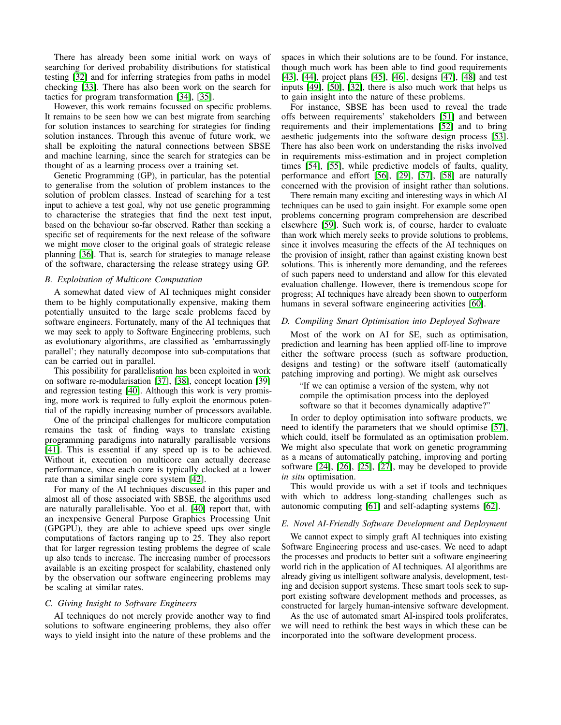There has already been some initial work on ways of searching for derived probability distributions for statistical testing [\[32\]](#page-4-8) and for inferring strategies from paths in model checking [\[33\]](#page-4-9). There has also been work on the search for tactics for program transformation [\[34\]](#page-4-10), [\[35\]](#page-4-11).

However, this work remains focussed on specific problems. It remains to be seen how we can best migrate from searching for solution instances to searching for strategies for finding solution instances. Through this avenue of future work, we shall be exploiting the natural connections between SBSE and machine learning, since the search for strategies can be thought of as a learning process over a training set.

Genetic Programming (GP), in particular, has the potential to generalise from the solution of problem instances to the solution of problem classes. Instead of searching for a test input to achieve a test goal, why not use genetic programming to characterise the strategies that find the next test input, based on the behaviour so-far observed. Rather than seeking a specific set of requirements for the next release of the software we might move closer to the original goals of strategic release planning [\[36\]](#page-4-12). That is, search for strategies to manage release of the software, charactersing the release strategy using GP.

## *B. Exploitation of Multicore Computation*

A somewhat dated view of AI techniques might consider them to be highly computationally expensive, making them potentially unsuited to the large scale problems faced by software engineers. Fortunately, many of the AI techniques that we may seek to apply to Software Engineering problems, such as evolutionary algorithms, are classified as 'embarrassingly parallel'; they naturally decompose into sub-computations that can be carried out in parallel.

This possibility for parallelisation has been exploited in work on software re-modularisation [\[37\]](#page-4-13), [\[38\]](#page-4-14), concept location [\[39\]](#page-4-15) and regression testing [\[40\]](#page-4-16). Although this work is very promising, more work is required to fully exploit the enormous potential of the rapidly increasing number of processors available.

One of the principal challenges for multicore computation remains the task of finding ways to translate existing programming paradigms into naturally parallisable versions [\[41\]](#page-4-17). This is essential if any speed up is to be achieved. Without it, execution on multicore can actually decrease performance, since each core is typically clocked at a lower rate than a similar single core system [\[42\]](#page-4-18).

For many of the AI techniques discussed in this paper and almost all of those associated with SBSE, the algorithms used are naturally parallelisable. Yoo et al. [\[40\]](#page-4-16) report that, with an inexpensive General Purpose Graphics Processing Unit (GPGPU), they are able to achieve speed ups over single computations of factors ranging up to 25. They also report that for larger regression testing problems the degree of scale up also tends to increase. The increasing number of processors available is an exciting prospect for scalability, chastened only by the observation our software engineering problems may be scaling at similar rates.

## *C. Giving Insight to Software Engineers*

AI techniques do not merely provide another way to find solutions to software engineering problems, they also offer ways to yield insight into the nature of these problems and the spaces in which their solutions are to be found. For instance, though much work has been able to find good requirements [\[43\]](#page-4-19), [\[44\]](#page-4-20), project plans [\[45\]](#page-4-21), [\[46\]](#page-4-22), designs [\[47\]](#page-4-23), [\[48\]](#page-4-24) and test inputs [\[49\]](#page-4-25), [\[50\]](#page-4-26), [\[32\]](#page-4-8), there is also much work that helps us to gain insight into the nature of these problems.

For instance, SBSE has been used to reveal the trade offs between requirements' stakeholders [\[51\]](#page-4-27) and between requirements and their implementations [\[52\]](#page-4-28) and to bring aesthetic judgements into the software design process [\[53\]](#page-4-29). There has also been work on understanding the risks involved in requirements miss-estimation and in project completion times [\[54\]](#page-4-30), [\[55\]](#page-4-31), while predictive models of faults, quality, performance and effort [\[56\]](#page-4-32), [\[29\]](#page-4-5), [\[57\]](#page-4-33), [\[58\]](#page-4-34) are naturally concerned with the provision of insight rather than solutions.

There remain many exciting and interesting ways in which AI techniques can be used to gain insight. For example some open problems concerning program comprehension are described elsewhere [\[59\]](#page-4-35). Such work is, of course, harder to evaluate than work which merely seeks to provide solutions to problems, since it involves measuring the effects of the AI techniques on the provision of insight, rather than against existing known best solutions. This is inherently more demanding, and the referees of such papers need to understand and allow for this elevated evaluation challenge. However, there is tremendous scope for progress; AI techniques have already been shown to outperform humans in several software engineering activities [\[60\]](#page-4-36).

# *D. Compiling Smart Optimisation into Deployed Software*

Most of the work on AI for SE, such as optimisation, prediction and learning has been applied off-line to improve either the software process (such as software production, designs and testing) or the software itself (automatically patching improving and porting). We might ask ourselves

"If we can optimise a version of the system, why not compile the optimisation process into the deployed software so that it becomes dynamically adaptive?"

In order to deploy optimisation into software products, we need to identify the parameters that we should optimise [\[57\]](#page-4-33), which could, itself be formulated as an optimisation problem. We might also speculate that work on genetic programming as a means of automatically patching, improving and porting software [\[24\]](#page-4-0), [\[26\]](#page-4-2), [\[25\]](#page-4-1), [\[27\]](#page-4-3), may be developed to provide *in situ* optimisation.

This would provide us with a set if tools and techniques with which to address long-standing challenges such as autonomic computing [\[61\]](#page-4-37) and self-adapting systems [\[62\]](#page-4-38).

### *E. Novel AI-Friendly Software Development and Deployment*

We cannot expect to simply graft AI techniques into existing Software Engineering process and use-cases. We need to adapt the processes and products to better suit a software engineering world rich in the application of AI techniques. AI algorithms are already giving us intelligent software analysis, development, testing and decision support systems. These smart tools seek to support existing software development methods and processes, as constructed for largely human-intensive software development.

As the use of automated smart AI-inspired tools proliferates, we will need to rethink the best ways in which these can be incorporated into the software development process.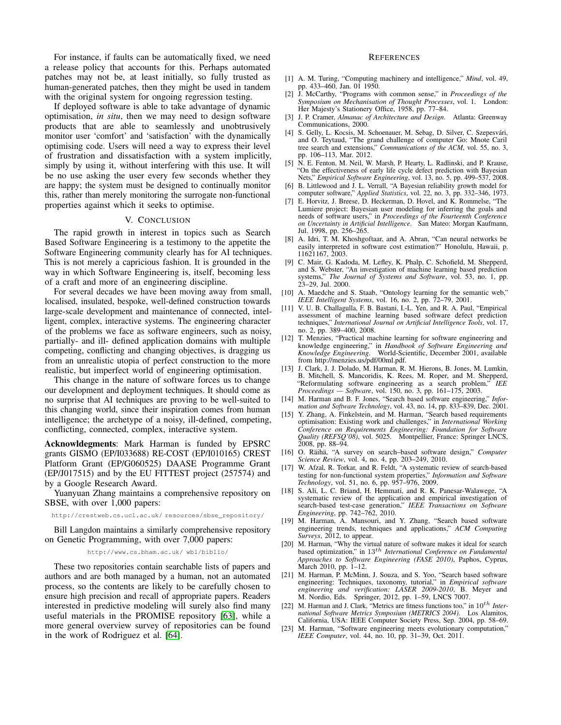For instance, if faults can be automatically fixed, we need a release policy that accounts for this. Perhaps automated patches may not be, at least initially, so fully trusted as human-generated patches, then they might be used in tandem with the original system for ongoing regression testing.

If deployed software is able to take advantage of dynamic optimisation, *in situ*, then we may need to design software products that are able to seamlessly and unobtrusively monitor user 'comfort' and 'satisfaction' with the dynamically optimising code. Users will need a way to express their level of frustration and dissatisfaction with a system implicitly, simply by using it, without interfering with this use. It will be no use asking the user every few seconds whether they are happy; the system must be designed to continually monitor this, rather than merely monitoring the surrogate non-functional properties against which it seeks to optimise.

# V. CONCLUSION

The rapid growth in interest in topics such as Search Based Software Engineering is a testimony to the appetite the Software Engineering community clearly has for AI techniques. This is not merely a capricious fashion. It is grounded in the way in which Software Engineering is, itself, becoming less of a craft and more of an engineering discipline.

For several decades we have been moving away from small, localised, insulated, bespoke, well-defined construction towards large-scale development and maintenance of connected, intelligent, complex, interactive systems. The engineering character of the problems we face as software engineers, such as noisy, partially- and ill- defined application domains with multiple competing, conflicting and changing objectives, is dragging us from an unrealistic utopia of perfect construction to the more realistic, but imperfect world of engineering optimisation.

This change in the nature of software forces us to change our development and deployment techniques. It should come as no surprise that AI techniques are proving to be well-suited to this changing world, since their inspiration comes from human intelligence; the archetype of a noisy, ill-defined, competing, conflicting, connected, complex, interactive system.

Acknowldegments: Mark Harman is funded by EPSRC grants GISMO (EP/I033688) RE-COST (EP/I010165) CREST Platform Grant (EP/G060525) DAASE Programme Grant (EP/J017515) and by the EU FITTEST project (257574) and by a Google Research Award.

Yuanyuan Zhang maintains a comprehensive repository on SBSE, with over 1,000 papers:

http://crestweb.cs.ucl.ac.uk/ resources/sbse\_repository/

Bill Langdon maintains a similarly comprehensive repository on Genetic Programming, with over 7,000 papers:

#### http://www.cs.bham.ac.uk/ wbl/biblio/

These two repositories contain searchable lists of papers and authors and are both managed by a human, not an automated process, so the contents are likely to be carefully chosen to ensure high precision and recall of appropriate papers. Readers interested in predictive modeling will surely also find many useful materials in the PROMISE repository [\[63\]](#page-4-39), while a more general overview survey of repositories can be found in the work of Rodriguez et al. [\[64\]](#page-4-40).

## **REFERENCES**

- <span id="page-3-0"></span>[1] A. M. Turing, "Computing machinery and intelligence," *Mind*, vol. 49, pp. 433–460, Jan. 01 1950.
- <span id="page-3-1"></span>[2] J. McCarthy, "Programs with common sense," in *Proceedings of the Symposium on Mechanisation of Thought Processes*, vol. 1. London: Her Majesty's Stationery Office, 1958, pp. 77-84.
- <span id="page-3-2"></span>[3] J. P. Cramer, *Almanac of Architecture and Design*. Atlanta: Greenway Communications, 2000.
- <span id="page-3-3"></span>[4] S. Gelly, L. Kocsis, M. Schoenauer, M. Sebag, D. Silver, C. Szepesvári, and O. Teytaud, "The grand challenge of computer Go: Mnote Caril tree search and extensions," *Communications of the ACM*, vol. 55, no. 3, pp. 106–113, Mar. 2012.
- <span id="page-3-4"></span>[5] N. E. Fenton, M. Neil, W. Marsh, P. Hearty, L. Radlinski, and P. Krause, "On the effectiveness of early life cycle defect prediction with Bayesian Nets," *Empirical Software Engineering*, vol. 13, no. 5, pp. 499–537, 2008.
- <span id="page-3-5"></span>[6] B. Littlewood and J. L. Verrall, "A Bayesian reliability growth model for computer software," *Applied Statistics*, vol. 22, no. 3, pp. 332–346, 1973.
- <span id="page-3-6"></span>[7] E. Horvitz, J. Breese, D. Heckerman, D. Hovel, and K. Rommelse, "The Lumiere project: Bayesian user modeling for inferring the goals and needs of software users," in *Proceedings of the Fourteenth Conference on Uncertainty in Artificial Intelligence*. San Mateo: Morgan Kaufmann, Jul. 1998, pp. 256–265.
- <span id="page-3-7"></span>[8] A. Idri, T. M. Khoshgoftaar, and A. Abran, "Can neural networks be easily interpreted in software cost estimation?" Honolulu, Hawaii, p. 11621167, 2003.
- <span id="page-3-8"></span>[9] C. Mair, G. Kadoda, M. Lefley, K. Phalp, C. Schofield, M. Shepperd, and S. Webster, "An investigation of machine learning based prediction systems," *The Journal of Systems and Software*, vol. 53, no. 1, pp. 23–29, Jul. 2000.
- <span id="page-3-9"></span>[10] A. Maedche and S. Staab, "Ontology learning for the semantic web," *IEEE Intelligent Systems*, vol. 16, no. 2, pp. 72–79, 2001.
- <span id="page-3-10"></span>[11] V. U. B. Challagulla, F. B. Bastani, I.-L. Yen, and R. A. Paul, "Empirical assessment of machine learning based software defect prediction techniques," *International Journal on Artificial Intelligence Tools*, vol. 17, no. 2, pp. 389–400, 2008.
- <span id="page-3-11"></span>[12] T. Menzies, "Practical machine learning for software engineering and knowledge engineering," in *Handbook of Software Engineering and Knowledge Engineering*. World-Scientific, December 2001, available from http://menzies.us/pdf/00ml.pdf.
- <span id="page-3-12"></span>[13] J. Clark, J. J. Dolado, M. Harman, R. M. Hierons, B. Jones, M. Lumkin, B. Mitchell, S. Mancoridis, K. Rees, M. Roper, and M. Shepperd, "Reformulating software engineering as a search problem," *IEE Proceedings — Software*, vol. 150, no. 3, pp. 161–175, 2003.
- <span id="page-3-13"></span>[14] M. Harman and B. F. Jones, "Search based software engineering," *Information and Software Technology*, vol. 43, no. 14, pp. 833–839, Dec. 2001.
- <span id="page-3-14"></span>[15] Y. Zhang, A. Finkelstein, and M. Harman, "Search based requirements optimisation: Existing work and challenges," in *International Working Conference on Requirements Engineering: Foundation for Software Quality (REFSQ'08)*, vol. 5025. Montpellier, France: Springer LNCS, 2008, pp. 88–94.
- <span id="page-3-15"></span>[16] O. Räihä, "A survey on search-based software design," Computer *Science Review*, vol. 4, no. 4, pp. 203–249, 2010.
- <span id="page-3-16"></span>[17] W. Afzal, R. Torkar, and R. Feldt, "A systematic review of search-based testing for non-functional system properties," *Information and Software Technology*, vol. 51, no. 6, pp. 957–976, 2009.
- <span id="page-3-17"></span>[18] S. Ali, L. C. Briand, H. Hemmati, and R. K. Panesar-Walawege, "A systematic review of the application and empirical investigation of search-based test-case generation," *IEEE Transactions on Software Engineering*, pp. 742–762, 2010.
- <span id="page-3-18"></span>[19] M. Harman, A. Mansouri, and Y. Zhang, "Search based software engineering trends, techniques and applications," *ACM Computing Surveys*, 2012, to appear.
- <span id="page-3-19"></span>[20] M. Harman, "Why the virtual nature of software makes it ideal for search based optimization," in 13th *International Conference on Fundamental Approaches to Software Engineering (FASE 2010)*, Paphos, Cyprus, March 2010, pp. 1–12.
- <span id="page-3-20"></span>[21] M. Harman, P. McMinn, J. Souza, and S. Yoo, "Search based software engineering: Techniques, taxonomy, tutorial," in *Empirical software engineering and verification: LASER 2009-2010*, B. Meyer and M. Nordio, Eds. Springer, 2012, pp. 1–59, LNCS 7007.
- <span id="page-3-21"></span>[22] M. Harman and J. Clark, "Metrics are fitness functions too," in  $10^{th}$  *International Software Metrics Symposium (METRICS 2004)*. Los Alamitos, California, USA: IEEE Computer Society Press, Sep. 2004, pp. 58–69.
- <span id="page-3-22"></span>[23] M. Harman, "Software engineering meets evolutionary computation," *IEEE Computer*, vol. 44, no. 10, pp. 31–39, Oct. 2011.